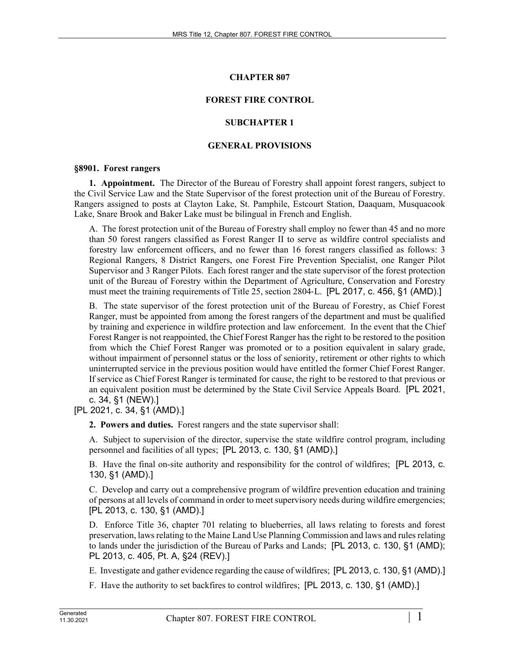# **CHAPTER 807**

# **FOREST FIRE CONTROL**

## **SUBCHAPTER 1**

## **GENERAL PROVISIONS**

#### **§8901. Forest rangers**

**1. Appointment.** The Director of the Bureau of Forestry shall appoint forest rangers, subject to the Civil Service Law and the State Supervisor of the forest protection unit of the Bureau of Forestry. Rangers assigned to posts at Clayton Lake, St. Pamphile, Estcourt Station, Daaquam, Musquacook Lake, Snare Brook and Baker Lake must be bilingual in French and English.

A. The forest protection unit of the Bureau of Forestry shall employ no fewer than 45 and no more than 50 forest rangers classified as Forest Ranger II to serve as wildfire control specialists and forestry law enforcement officers, and no fewer than 16 forest rangers classified as follows: 3 Regional Rangers, 8 District Rangers, one Forest Fire Prevention Specialist, one Ranger Pilot Supervisor and 3 Ranger Pilots. Each forest ranger and the state supervisor of the forest protection unit of the Bureau of Forestry within the Department of Agriculture, Conservation and Forestry must meet the training requirements of Title 25, section 2804‑L. [PL 2017, c. 456, §1 (AMD).]

B. The state supervisor of the forest protection unit of the Bureau of Forestry, as Chief Forest Ranger, must be appointed from among the forest rangers of the department and must be qualified by training and experience in wildfire protection and law enforcement. In the event that the Chief Forest Ranger is not reappointed, the Chief Forest Ranger has the right to be restored to the position from which the Chief Forest Ranger was promoted or to a position equivalent in salary grade, without impairment of personnel status or the loss of seniority, retirement or other rights to which uninterrupted service in the previous position would have entitled the former Chief Forest Ranger. If service as Chief Forest Ranger is terminated for cause, the right to be restored to that previous or an equivalent position must be determined by the State Civil Service Appeals Board. [PL 2021, c. 34, §1 (NEW).]

[PL 2021, c. 34, §1 (AMD).]

**2. Powers and duties.** Forest rangers and the state supervisor shall:

A. Subject to supervision of the director, supervise the state wildfire control program, including personnel and facilities of all types; [PL 2013, c. 130, §1 (AMD).]

B. Have the final on-site authority and responsibility for the control of wildfires; [PL 2013, c. 130, §1 (AMD).]

C. Develop and carry out a comprehensive program of wildfire prevention education and training of persons at all levels of command in order to meet supervisory needs during wildfire emergencies; [PL 2013, c. 130, §1 (AMD).]

D. Enforce Title 36, chapter 701 relating to blueberries, all laws relating to forests and forest preservation, laws relating to the Maine Land Use Planning Commission and laws and rules relating to lands under the jurisdiction of the Bureau of Parks and Lands; [PL 2013, c. 130, §1 (AMD); PL 2013, c. 405, Pt. A, §24 (REV).]

E. Investigate and gather evidence regarding the cause of wildfires; [PL 2013, c. 130, §1 (AMD).]

F. Have the authority to set backfires to control wildfires; [PL 2013, c. 130, §1 (AMD).]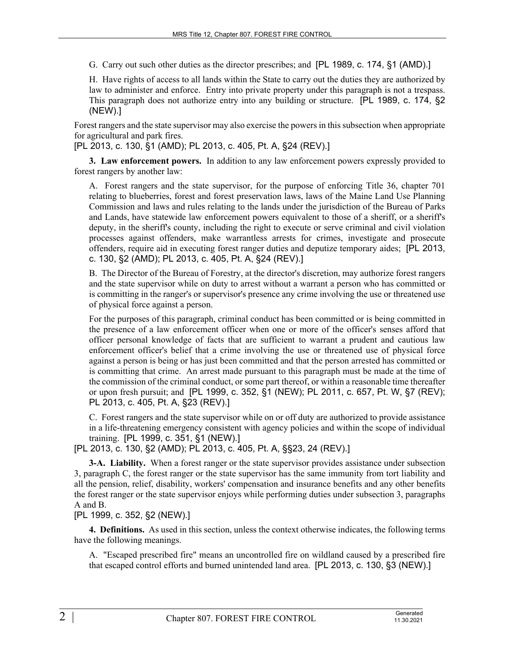G. Carry out such other duties as the director prescribes; and [PL 1989, c. 174, §1 (AMD).]

H. Have rights of access to all lands within the State to carry out the duties they are authorized by law to administer and enforce. Entry into private property under this paragraph is not a trespass. This paragraph does not authorize entry into any building or structure. [PL 1989, c. 174, §2 (NEW).]

Forest rangers and the state supervisor may also exercise the powers in this subsection when appropriate for agricultural and park fires.

[PL 2013, c. 130, §1 (AMD); PL 2013, c. 405, Pt. A, §24 (REV).]

**3. Law enforcement powers.** In addition to any law enforcement powers expressly provided to forest rangers by another law:

A. Forest rangers and the state supervisor, for the purpose of enforcing Title 36, chapter 701 relating to blueberries, forest and forest preservation laws, laws of the Maine Land Use Planning Commission and laws and rules relating to the lands under the jurisdiction of the Bureau of Parks and Lands, have statewide law enforcement powers equivalent to those of a sheriff, or a sheriff's deputy, in the sheriff's county, including the right to execute or serve criminal and civil violation processes against offenders, make warrantless arrests for crimes, investigate and prosecute offenders, require aid in executing forest ranger duties and deputize temporary aides; [PL 2013, c. 130, §2 (AMD); PL 2013, c. 405, Pt. A, §24 (REV).]

B. The Director of the Bureau of Forestry, at the director's discretion, may authorize forest rangers and the state supervisor while on duty to arrest without a warrant a person who has committed or is committing in the ranger's or supervisor's presence any crime involving the use or threatened use of physical force against a person.

For the purposes of this paragraph, criminal conduct has been committed or is being committed in the presence of a law enforcement officer when one or more of the officer's senses afford that officer personal knowledge of facts that are sufficient to warrant a prudent and cautious law enforcement officer's belief that a crime involving the use or threatened use of physical force against a person is being or has just been committed and that the person arrested has committed or is committing that crime. An arrest made pursuant to this paragraph must be made at the time of the commission of the criminal conduct, or some part thereof, or within a reasonable time thereafter or upon fresh pursuit; and [PL 1999, c. 352, §1 (NEW); PL 2011, c. 657, Pt. W, §7 (REV); PL 2013, c. 405, Pt. A, §23 (REV).]

C. Forest rangers and the state supervisor while on or off duty are authorized to provide assistance in a life-threatening emergency consistent with agency policies and within the scope of individual training. [PL 1999, c. 351, §1 (NEW).]

[PL 2013, c. 130, §2 (AMD); PL 2013, c. 405, Pt. A, §§23, 24 (REV).]

**3-A. Liability.** When a forest ranger or the state supervisor provides assistance under subsection 3, paragraph C, the forest ranger or the state supervisor has the same immunity from tort liability and all the pension, relief, disability, workers' compensation and insurance benefits and any other benefits the forest ranger or the state supervisor enjoys while performing duties under subsection 3, paragraphs A and B.

### [PL 1999, c. 352, §2 (NEW).]

**4. Definitions.** As used in this section, unless the context otherwise indicates, the following terms have the following meanings.

A. "Escaped prescribed fire" means an uncontrolled fire on wildland caused by a prescribed fire that escaped control efforts and burned unintended land area. [PL 2013, c. 130, §3 (NEW).]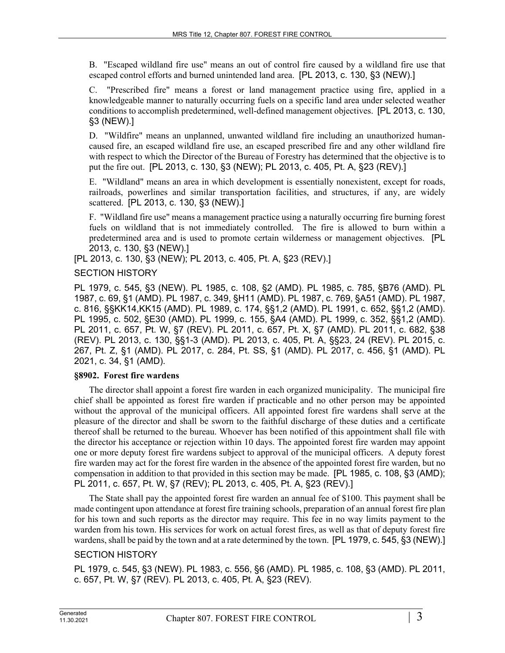B. "Escaped wildland fire use" means an out of control fire caused by a wildland fire use that escaped control efforts and burned unintended land area. [PL 2013, c. 130, §3 (NEW).]

C. "Prescribed fire" means a forest or land management practice using fire, applied in a knowledgeable manner to naturally occurring fuels on a specific land area under selected weather conditions to accomplish predetermined, well-defined management objectives. [PL 2013, c. 130, §3 (NEW).]

D. "Wildfire" means an unplanned, unwanted wildland fire including an unauthorized humancaused fire, an escaped wildland fire use, an escaped prescribed fire and any other wildland fire with respect to which the Director of the Bureau of Forestry has determined that the objective is to put the fire out. [PL 2013, c. 130, §3 (NEW); PL 2013, c. 405, Pt. A, §23 (REV).]

E. "Wildland" means an area in which development is essentially nonexistent, except for roads, railroads, powerlines and similar transportation facilities, and structures, if any, are widely scattered. [PL 2013, c. 130, §3 (NEW).]

F. "Wildland fire use" means a management practice using a naturally occurring fire burning forest fuels on wildland that is not immediately controlled. The fire is allowed to burn within a predetermined area and is used to promote certain wilderness or management objectives. [PL 2013, c. 130, §3 (NEW).]

[PL 2013, c. 130, §3 (NEW); PL 2013, c. 405, Pt. A, §23 (REV).]

### SECTION HISTORY

PL 1979, c. 545, §3 (NEW). PL 1985, c. 108, §2 (AMD). PL 1985, c. 785, §B76 (AMD). PL 1987, c. 69, §1 (AMD). PL 1987, c. 349, §H11 (AMD). PL 1987, c. 769, §A51 (AMD). PL 1987, c. 816, §§KK14,KK15 (AMD). PL 1989, c. 174, §§1,2 (AMD). PL 1991, c. 652, §§1,2 (AMD). PL 1995, c. 502, §E30 (AMD). PL 1999, c. 155, §A4 (AMD). PL 1999, c. 352, §§1,2 (AMD). PL 2011, c. 657, Pt. W, §7 (REV). PL 2011, c. 657, Pt. X, §7 (AMD). PL 2011, c. 682, §38 (REV). PL 2013, c. 130, §§1-3 (AMD). PL 2013, c. 405, Pt. A, §§23, 24 (REV). PL 2015, c. 267, Pt. Z, §1 (AMD). PL 2017, c. 284, Pt. SS, §1 (AMD). PL 2017, c. 456, §1 (AMD). PL 2021, c. 34, §1 (AMD).

#### **§8902. Forest fire wardens**

The director shall appoint a forest fire warden in each organized municipality. The municipal fire chief shall be appointed as forest fire warden if practicable and no other person may be appointed without the approval of the municipal officers. All appointed forest fire wardens shall serve at the pleasure of the director and shall be sworn to the faithful discharge of these duties and a certificate thereof shall be returned to the bureau. Whoever has been notified of this appointment shall file with the director his acceptance or rejection within 10 days. The appointed forest fire warden may appoint one or more deputy forest fire wardens subject to approval of the municipal officers. A deputy forest fire warden may act for the forest fire warden in the absence of the appointed forest fire warden, but no compensation in addition to that provided in this section may be made. [PL 1985, c. 108, §3 (AMD); PL 2011, c. 657, Pt. W, §7 (REV); PL 2013, c. 405, Pt. A, §23 (REV).]

The State shall pay the appointed forest fire warden an annual fee of \$100. This payment shall be made contingent upon attendance at forest fire training schools, preparation of an annual forest fire plan for his town and such reports as the director may require. This fee in no way limits payment to the warden from his town. His services for work on actual forest fires, as well as that of deputy forest fire wardens, shall be paid by the town and at a rate determined by the town. [PL 1979, c. 545, §3 (NEW).]

## SECTION HISTORY

PL 1979, c. 545, §3 (NEW). PL 1983, c. 556, §6 (AMD). PL 1985, c. 108, §3 (AMD). PL 2011, c. 657, Pt. W, §7 (REV). PL 2013, c. 405, Pt. A, §23 (REV).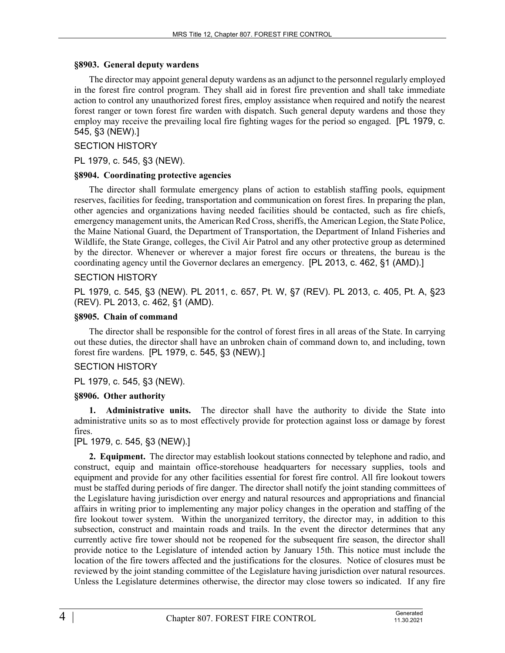#### **§8903. General deputy wardens**

The director may appoint general deputy wardens as an adjunct to the personnel regularly employed in the forest fire control program. They shall aid in forest fire prevention and shall take immediate action to control any unauthorized forest fires, employ assistance when required and notify the nearest forest ranger or town forest fire warden with dispatch. Such general deputy wardens and those they employ may receive the prevailing local fire fighting wages for the period so engaged. [PL 1979, c. 545, §3 (NEW).]

### SECTION HISTORY

PL 1979, c. 545, §3 (NEW).

#### **§8904. Coordinating protective agencies**

The director shall formulate emergency plans of action to establish staffing pools, equipment reserves, facilities for feeding, transportation and communication on forest fires. In preparing the plan, other agencies and organizations having needed facilities should be contacted, such as fire chiefs, emergency management units, the American Red Cross, sheriffs, the American Legion, the State Police, the Maine National Guard, the Department of Transportation, the Department of Inland Fisheries and Wildlife, the State Grange, colleges, the Civil Air Patrol and any other protective group as determined by the director. Whenever or wherever a major forest fire occurs or threatens, the bureau is the coordinating agency until the Governor declares an emergency. [PL 2013, c. 462, §1 (AMD).]

### SECTION HISTORY

PL 1979, c. 545, §3 (NEW). PL 2011, c. 657, Pt. W, §7 (REV). PL 2013, c. 405, Pt. A, §23 (REV). PL 2013, c. 462, §1 (AMD).

### **§8905. Chain of command**

The director shall be responsible for the control of forest fires in all areas of the State. In carrying out these duties, the director shall have an unbroken chain of command down to, and including, town forest fire wardens. [PL 1979, c. 545, §3 (NEW).]

## SECTION HISTORY

PL 1979, c. 545, §3 (NEW).

## **§8906. Other authority**

**1. Administrative units.** The director shall have the authority to divide the State into administrative units so as to most effectively provide for protection against loss or damage by forest fires.

## [PL 1979, c. 545, §3 (NEW).]

**2. Equipment.** The director may establish lookout stations connected by telephone and radio, and construct, equip and maintain office-storehouse headquarters for necessary supplies, tools and equipment and provide for any other facilities essential for forest fire control. All fire lookout towers must be staffed during periods of fire danger. The director shall notify the joint standing committees of the Legislature having jurisdiction over energy and natural resources and appropriations and financial affairs in writing prior to implementing any major policy changes in the operation and staffing of the fire lookout tower system. Within the unorganized territory, the director may, in addition to this subsection, construct and maintain roads and trails. In the event the director determines that any currently active fire tower should not be reopened for the subsequent fire season, the director shall provide notice to the Legislature of intended action by January 15th. This notice must include the location of the fire towers affected and the justifications for the closures. Notice of closures must be reviewed by the joint standing committee of the Legislature having jurisdiction over natural resources. Unless the Legislature determines otherwise, the director may close towers so indicated. If any fire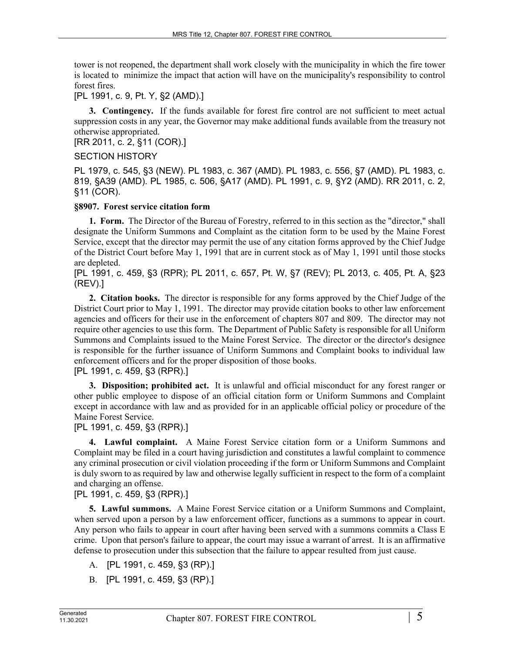tower is not reopened, the department shall work closely with the municipality in which the fire tower is located to minimize the impact that action will have on the municipality's responsibility to control forest fires.

[PL 1991, c. 9, Pt. Y, §2 (AMD).]

**3. Contingency.** If the funds available for forest fire control are not sufficient to meet actual suppression costs in any year, the Governor may make additional funds available from the treasury not otherwise appropriated.

[RR 2011, c. 2, §11 (COR).]

#### SECTION HISTORY

PL 1979, c. 545, §3 (NEW). PL 1983, c. 367 (AMD). PL 1983, c. 556, §7 (AMD). PL 1983, c. 819, §A39 (AMD). PL 1985, c. 506, §A17 (AMD). PL 1991, c. 9, §Y2 (AMD). RR 2011, c. 2, §11 (COR).

### **§8907. Forest service citation form**

**1. Form.** The Director of the Bureau of Forestry, referred to in this section as the "director," shall designate the Uniform Summons and Complaint as the citation form to be used by the Maine Forest Service, except that the director may permit the use of any citation forms approved by the Chief Judge of the District Court before May 1, 1991 that are in current stock as of May 1, 1991 until those stocks are depleted.

[PL 1991, c. 459, §3 (RPR); PL 2011, c. 657, Pt. W, §7 (REV); PL 2013, c. 405, Pt. A, §23 (REV).]

**2. Citation books.** The director is responsible for any forms approved by the Chief Judge of the District Court prior to May 1, 1991. The director may provide citation books to other law enforcement agencies and officers for their use in the enforcement of chapters 807 and 809. The director may not require other agencies to use this form. The Department of Public Safety is responsible for all Uniform Summons and Complaints issued to the Maine Forest Service. The director or the director's designee is responsible for the further issuance of Uniform Summons and Complaint books to individual law enforcement officers and for the proper disposition of those books.

[PL 1991, c. 459, §3 (RPR).]

**3. Disposition; prohibited act.** It is unlawful and official misconduct for any forest ranger or other public employee to dispose of an official citation form or Uniform Summons and Complaint except in accordance with law and as provided for in an applicable official policy or procedure of the Maine Forest Service.

[PL 1991, c. 459, §3 (RPR).]

**4. Lawful complaint.** A Maine Forest Service citation form or a Uniform Summons and Complaint may be filed in a court having jurisdiction and constitutes a lawful complaint to commence any criminal prosecution or civil violation proceeding if the form or Uniform Summons and Complaint is duly sworn to as required by law and otherwise legally sufficient in respect to the form of a complaint and charging an offense.

## [PL 1991, c. 459, §3 (RPR).]

**5. Lawful summons.** A Maine Forest Service citation or a Uniform Summons and Complaint, when served upon a person by a law enforcement officer, functions as a summons to appear in court. Any person who fails to appear in court after having been served with a summons commits a Class E crime. Upon that person's failure to appear, the court may issue a warrant of arrest. It is an affirmative defense to prosecution under this subsection that the failure to appear resulted from just cause.

- A. [PL 1991, c. 459, §3 (RP).]
- B. [PL 1991, c. 459, §3 (RP).]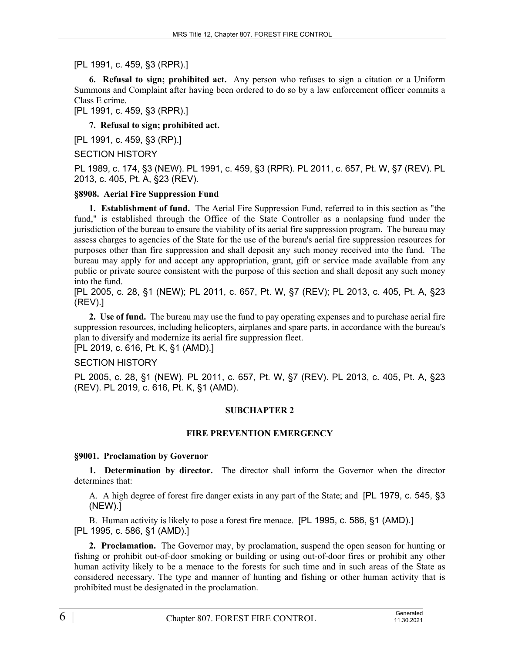[PL 1991, c. 459, §3 (RPR).]

**6. Refusal to sign; prohibited act.** Any person who refuses to sign a citation or a Uniform Summons and Complaint after having been ordered to do so by a law enforcement officer commits a Class E crime.

[PL 1991, c. 459, §3 (RPR).]

**7. Refusal to sign; prohibited act.** 

[PL 1991, c. 459, §3 (RP).]

SECTION HISTORY

PL 1989, c. 174, §3 (NEW). PL 1991, c. 459, §3 (RPR). PL 2011, c. 657, Pt. W, §7 (REV). PL 2013, c. 405, Pt. A, §23 (REV).

### **§8908. Aerial Fire Suppression Fund**

**1. Establishment of fund.** The Aerial Fire Suppression Fund, referred to in this section as "the fund," is established through the Office of the State Controller as a nonlapsing fund under the jurisdiction of the bureau to ensure the viability of its aerial fire suppression program. The bureau may assess charges to agencies of the State for the use of the bureau's aerial fire suppression resources for purposes other than fire suppression and shall deposit any such money received into the fund. The bureau may apply for and accept any appropriation, grant, gift or service made available from any public or private source consistent with the purpose of this section and shall deposit any such money into the fund.

[PL 2005, c. 28, §1 (NEW); PL 2011, c. 657, Pt. W, §7 (REV); PL 2013, c. 405, Pt. A, §23 (REV).]

**2. Use of fund.** The bureau may use the fund to pay operating expenses and to purchase aerial fire suppression resources, including helicopters, airplanes and spare parts, in accordance with the bureau's plan to diversify and modernize its aerial fire suppression fleet.

[PL 2019, c. 616, Pt. K, §1 (AMD).]

## SECTION HISTORY

PL 2005, c. 28, §1 (NEW). PL 2011, c. 657, Pt. W, §7 (REV). PL 2013, c. 405, Pt. A, §23 (REV). PL 2019, c. 616, Pt. K, §1 (AMD).

## **SUBCHAPTER 2**

#### **FIRE PREVENTION EMERGENCY**

#### **§9001. Proclamation by Governor**

**1. Determination by director.** The director shall inform the Governor when the director determines that:

A. A high degree of forest fire danger exists in any part of the State; and [PL 1979, c. 545, §3 (NEW).]

B. Human activity is likely to pose a forest fire menace. [PL 1995, c. 586, §1 (AMD).] [PL 1995, c. 586, §1 (AMD).]

**2. Proclamation.** The Governor may, by proclamation, suspend the open season for hunting or fishing or prohibit out-of-door smoking or building or using out-of-door fires or prohibit any other human activity likely to be a menace to the forests for such time and in such areas of the State as considered necessary. The type and manner of hunting and fishing or other human activity that is prohibited must be designated in the proclamation.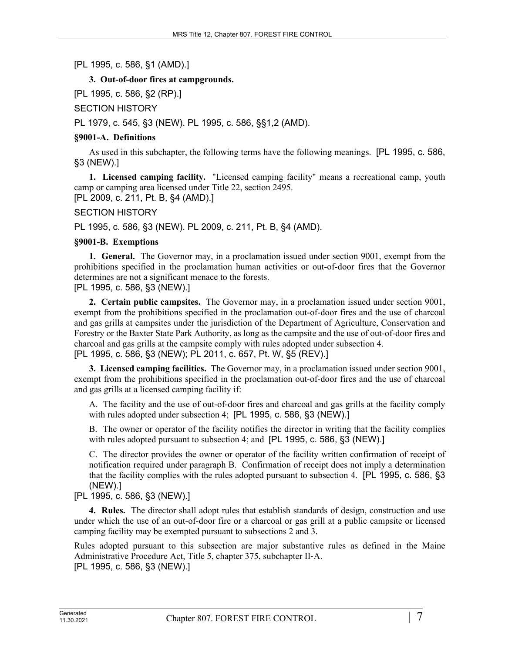[PL 1995, c. 586, §1 (AMD).]

# **3. Out-of-door fires at campgrounds.**

[PL 1995, c. 586, §2 (RP).]

SECTION HISTORY

PL 1979, c. 545, §3 (NEW). PL 1995, c. 586, §§1,2 (AMD).

# **§9001-A. Definitions**

As used in this subchapter, the following terms have the following meanings. [PL 1995, c. 586, §3 (NEW).]

**1. Licensed camping facility.** "Licensed camping facility" means a recreational camp, youth camp or camping area licensed under Title 22, section 2495. [PL 2009, c. 211, Pt. B, §4 (AMD).]

SECTION HISTORY

PL 1995, c. 586, §3 (NEW). PL 2009, c. 211, Pt. B, §4 (AMD).

# **§9001-B. Exemptions**

**1. General.** The Governor may, in a proclamation issued under section 9001, exempt from the prohibitions specified in the proclamation human activities or out-of-door fires that the Governor determines are not a significant menace to the forests.

[PL 1995, c. 586, §3 (NEW).]

**2. Certain public campsites.** The Governor may, in a proclamation issued under section 9001, exempt from the prohibitions specified in the proclamation out-of-door fires and the use of charcoal and gas grills at campsites under the jurisdiction of the Department of Agriculture, Conservation and Forestry or the Baxter State Park Authority, as long as the campsite and the use of out-of-door fires and charcoal and gas grills at the campsite comply with rules adopted under subsection 4. [PL 1995, c. 586, §3 (NEW); PL 2011, c. 657, Pt. W, §5 (REV).]

**3. Licensed camping facilities.** The Governor may, in a proclamation issued under section 9001, exempt from the prohibitions specified in the proclamation out-of-door fires and the use of charcoal and gas grills at a licensed camping facility if:

A. The facility and the use of out-of-door fires and charcoal and gas grills at the facility comply with rules adopted under subsection 4; [PL 1995, c. 586, §3 (NEW).]

B. The owner or operator of the facility notifies the director in writing that the facility complies with rules adopted pursuant to subsection 4; and [PL 1995, c. 586, §3 (NEW).]

C. The director provides the owner or operator of the facility written confirmation of receipt of notification required under paragraph B. Confirmation of receipt does not imply a determination that the facility complies with the rules adopted pursuant to subsection 4. [PL 1995, c. 586, §3 (NEW).]

# [PL 1995, c. 586, §3 (NEW).]

**4. Rules.** The director shall adopt rules that establish standards of design, construction and use under which the use of an out-of-door fire or a charcoal or gas grill at a public campsite or licensed camping facility may be exempted pursuant to subsections 2 and 3.

Rules adopted pursuant to this subsection are major substantive rules as defined in the Maine Administrative Procedure Act, Title 5, chapter 375, subchapter II‑A. [PL 1995, c. 586, §3 (NEW).]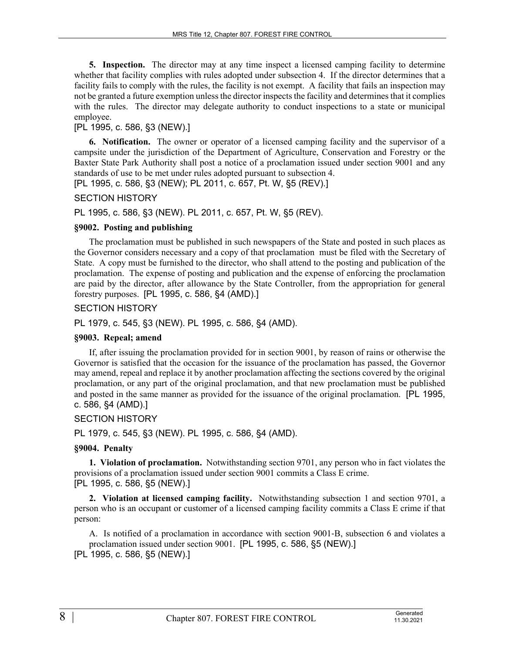**5. Inspection.** The director may at any time inspect a licensed camping facility to determine whether that facility complies with rules adopted under subsection 4. If the director determines that a facility fails to comply with the rules, the facility is not exempt. A facility that fails an inspection may not be granted a future exemption unless the director inspects the facility and determines that it complies with the rules. The director may delegate authority to conduct inspections to a state or municipal employee.

# [PL 1995, c. 586, §3 (NEW).]

**6. Notification.** The owner or operator of a licensed camping facility and the supervisor of a campsite under the jurisdiction of the Department of Agriculture, Conservation and Forestry or the Baxter State Park Authority shall post a notice of a proclamation issued under section 9001 and any standards of use to be met under rules adopted pursuant to subsection 4.

[PL 1995, c. 586, §3 (NEW); PL 2011, c. 657, Pt. W, §5 (REV).]

### SECTION HISTORY

PL 1995, c. 586, §3 (NEW). PL 2011, c. 657, Pt. W, §5 (REV).

### **§9002. Posting and publishing**

The proclamation must be published in such newspapers of the State and posted in such places as the Governor considers necessary and a copy of that proclamation must be filed with the Secretary of State. A copy must be furnished to the director, who shall attend to the posting and publication of the proclamation. The expense of posting and publication and the expense of enforcing the proclamation are paid by the director, after allowance by the State Controller, from the appropriation for general forestry purposes. [PL 1995, c. 586, §4 (AMD).]

## SECTION HISTORY

PL 1979, c. 545, §3 (NEW). PL 1995, c. 586, §4 (AMD).

## **§9003. Repeal; amend**

If, after issuing the proclamation provided for in section 9001, by reason of rains or otherwise the Governor is satisfied that the occasion for the issuance of the proclamation has passed, the Governor may amend, repeal and replace it by another proclamation affecting the sections covered by the original proclamation, or any part of the original proclamation, and that new proclamation must be published and posted in the same manner as provided for the issuance of the original proclamation. [PL 1995, c. 586, §4 (AMD).]

## SECTION HISTORY

PL 1979, c. 545, §3 (NEW). PL 1995, c. 586, §4 (AMD).

#### **§9004. Penalty**

**1. Violation of proclamation.** Notwithstanding section 9701, any person who in fact violates the provisions of a proclamation issued under section 9001 commits a Class E crime. [PL 1995, c. 586, §5 (NEW).]

**2. Violation at licensed camping facility.** Notwithstanding subsection 1 and section 9701, a person who is an occupant or customer of a licensed camping facility commits a Class E crime if that person:

A. Is notified of a proclamation in accordance with section 9001‑B, subsection 6 and violates a proclamation issued under section 9001. [PL 1995, c. 586, §5 (NEW).] [PL 1995, c. 586, §5 (NEW).]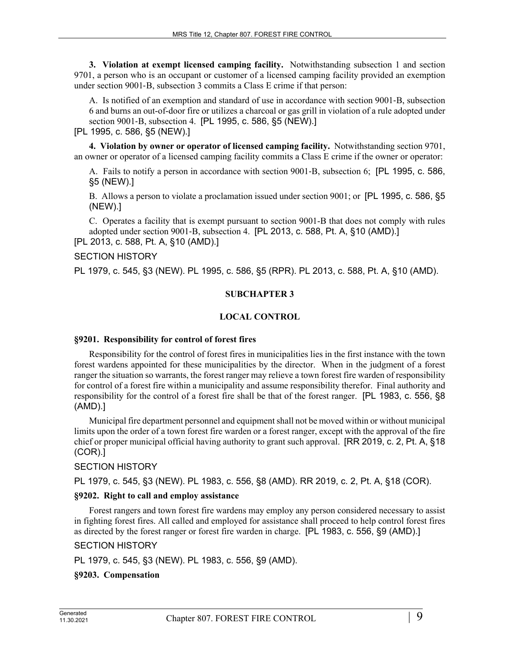**3. Violation at exempt licensed camping facility.** Notwithstanding subsection 1 and section 9701, a person who is an occupant or customer of a licensed camping facility provided an exemption under section 9001‑B, subsection 3 commits a Class E crime if that person:

A. Is notified of an exemption and standard of use in accordance with section 9001‑B, subsection 6 and burns an out-of-door fire or utilizes a charcoal or gas grill in violation of a rule adopted under section 9001-B, subsection 4. [PL 1995, c. 586, §5 (NEW).]

[PL 1995, c. 586, §5 (NEW).]

**4. Violation by owner or operator of licensed camping facility.** Notwithstanding section 9701, an owner or operator of a licensed camping facility commits a Class E crime if the owner or operator:

A. Fails to notify a person in accordance with section 9001‑B, subsection 6; [PL 1995, c. 586, §5 (NEW).]

B. Allows a person to violate a proclamation issued under section 9001; or [PL 1995, c. 586, §5 (NEW).]

C. Operates a facility that is exempt pursuant to section 9001-B that does not comply with rules adopted under section 9001-B, subsection 4. [PL 2013, c. 588, Pt. A, §10 (AMD).]

[PL 2013, c. 588, Pt. A, §10 (AMD).]

SECTION HISTORY

PL 1979, c. 545, §3 (NEW). PL 1995, c. 586, §5 (RPR). PL 2013, c. 588, Pt. A, §10 (AMD).

### **SUBCHAPTER 3**

### **LOCAL CONTROL**

#### **§9201. Responsibility for control of forest fires**

Responsibility for the control of forest fires in municipalities lies in the first instance with the town forest wardens appointed for these municipalities by the director. When in the judgment of a forest ranger the situation so warrants, the forest ranger may relieve a town forest fire warden of responsibility for control of a forest fire within a municipality and assume responsibility therefor. Final authority and responsibility for the control of a forest fire shall be that of the forest ranger. [PL 1983, c. 556, §8 (AMD).]

Municipal fire department personnel and equipment shall not be moved within or without municipal limits upon the order of a town forest fire warden or a forest ranger, except with the approval of the fire chief or proper municipal official having authority to grant such approval. [RR 2019, c. 2, Pt. A, §18 (COR).]

## SECTION HISTORY

PL 1979, c. 545, §3 (NEW). PL 1983, c. 556, §8 (AMD). RR 2019, c. 2, Pt. A, §18 (COR).

#### **§9202. Right to call and employ assistance**

Forest rangers and town forest fire wardens may employ any person considered necessary to assist in fighting forest fires. All called and employed for assistance shall proceed to help control forest fires as directed by the forest ranger or forest fire warden in charge. [PL 1983, c. 556, §9 (AMD).]

## SECTION HISTORY

PL 1979, c. 545, §3 (NEW). PL 1983, c. 556, §9 (AMD).

## **§9203. Compensation**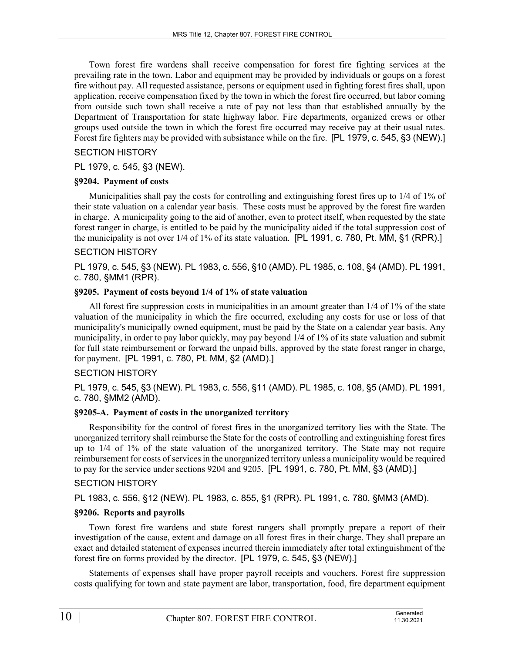Town forest fire wardens shall receive compensation for forest fire fighting services at the prevailing rate in the town. Labor and equipment may be provided by individuals or goups on a forest fire without pay. All requested assistance, persons or equipment used in fighting forest fires shall, upon application, receive compensation fixed by the town in which the forest fire occurred, but labor coming from outside such town shall receive a rate of pay not less than that established annually by the Department of Transportation for state highway labor. Fire departments, organized crews or other groups used outside the town in which the forest fire occurred may receive pay at their usual rates. Forest fire fighters may be provided with subsistance while on the fire. [PL 1979, c. 545, §3 (NEW).]

### SECTION HISTORY

PL 1979, c. 545, §3 (NEW).

#### **§9204. Payment of costs**

Municipalities shall pay the costs for controlling and extinguishing forest fires up to 1/4 of 1% of their state valuation on a calendar year basis. These costs must be approved by the forest fire warden in charge. A municipality going to the aid of another, even to protect itself, when requested by the state forest ranger in charge, is entitled to be paid by the municipality aided if the total suppression cost of the municipality is not over 1/4 of 1% of its state valuation. [PL 1991, c. 780, Pt. MM, §1 (RPR).]

### SECTION HISTORY

PL 1979, c. 545, §3 (NEW). PL 1983, c. 556, §10 (AMD). PL 1985, c. 108, §4 (AMD). PL 1991, c. 780, §MM1 (RPR).

#### **§9205. Payment of costs beyond 1/4 of 1% of state valuation**

All forest fire suppression costs in municipalities in an amount greater than 1/4 of 1% of the state valuation of the municipality in which the fire occurred, excluding any costs for use or loss of that municipality's municipally owned equipment, must be paid by the State on a calendar year basis. Any municipality, in order to pay labor quickly, may pay beyond 1/4 of 1% of its state valuation and submit for full state reimbursement or forward the unpaid bills, approved by the state forest ranger in charge, for payment. [PL 1991, c. 780, Pt. MM, §2 (AMD).]

## SECTION HISTORY

PL 1979, c. 545, §3 (NEW). PL 1983, c. 556, §11 (AMD). PL 1985, c. 108, §5 (AMD). PL 1991, c. 780, §MM2 (AMD).

## **§9205-A. Payment of costs in the unorganized territory**

Responsibility for the control of forest fires in the unorganized territory lies with the State. The unorganized territory shall reimburse the State for the costs of controlling and extinguishing forest fires up to 1/4 of 1% of the state valuation of the unorganized territory. The State may not require reimbursement for costs of services in the unorganized territory unless a municipality would be required to pay for the service under sections 9204 and 9205. [PL 1991, c. 780, Pt. MM, §3 (AMD).]

#### SECTION HISTORY

PL 1983, c. 556, §12 (NEW). PL 1983, c. 855, §1 (RPR). PL 1991, c. 780, §MM3 (AMD).

#### **§9206. Reports and payrolls**

Town forest fire wardens and state forest rangers shall promptly prepare a report of their investigation of the cause, extent and damage on all forest fires in their charge. They shall prepare an exact and detailed statement of expenses incurred therein immediately after total extinguishment of the forest fire on forms provided by the director. [PL 1979, c. 545, §3 (NEW).]

Statements of expenses shall have proper payroll receipts and vouchers. Forest fire suppression costs qualifying for town and state payment are labor, transportation, food, fire department equipment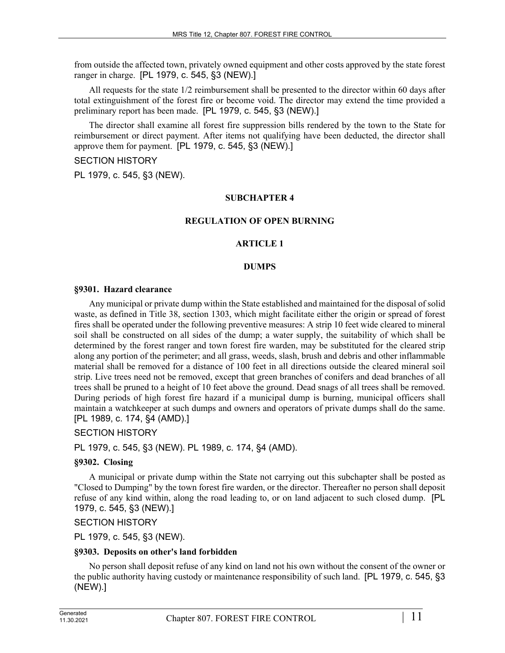from outside the affected town, privately owned equipment and other costs approved by the state forest ranger in charge. [PL 1979, c. 545, §3 (NEW).]

All requests for the state 1/2 reimbursement shall be presented to the director within 60 days after total extinguishment of the forest fire or become void. The director may extend the time provided a preliminary report has been made. [PL 1979, c. 545, §3 (NEW).]

The director shall examine all forest fire suppression bills rendered by the town to the State for reimbursement or direct payment. After items not qualifying have been deducted, the director shall approve them for payment. [PL 1979, c. 545, §3 (NEW).]

#### SECTION HISTORY

PL 1979, c. 545, §3 (NEW).

#### **SUBCHAPTER 4**

#### **REGULATION OF OPEN BURNING**

#### **ARTICLE 1**

#### **DUMPS**

#### **§9301. Hazard clearance**

Any municipal or private dump within the State established and maintained for the disposal of solid waste, as defined in Title 38, section 1303, which might facilitate either the origin or spread of forest fires shall be operated under the following preventive measures: A strip 10 feet wide cleared to mineral soil shall be constructed on all sides of the dump; a water supply, the suitability of which shall be determined by the forest ranger and town forest fire warden, may be substituted for the cleared strip along any portion of the perimeter; and all grass, weeds, slash, brush and debris and other inflammable material shall be removed for a distance of 100 feet in all directions outside the cleared mineral soil strip. Live trees need not be removed, except that green branches of conifers and dead branches of all trees shall be pruned to a height of 10 feet above the ground. Dead snags of all trees shall be removed. During periods of high forest fire hazard if a municipal dump is burning, municipal officers shall maintain a watchkeeper at such dumps and owners and operators of private dumps shall do the same. [PL 1989, c. 174, §4 (AMD).]

SECTION HISTORY

PL 1979, c. 545, §3 (NEW). PL 1989, c. 174, §4 (AMD).

#### **§9302. Closing**

A municipal or private dump within the State not carrying out this subchapter shall be posted as "Closed to Dumping" by the town forest fire warden, or the director. Thereafter no person shall deposit refuse of any kind within, along the road leading to, or on land adjacent to such closed dump. [PL 1979, c. 545, §3 (NEW).]

#### SECTION HISTORY

PL 1979, c. 545, §3 (NEW).

#### **§9303. Deposits on other's land forbidden**

No person shall deposit refuse of any kind on land not his own without the consent of the owner or the public authority having custody or maintenance responsibility of such land. [PL 1979, c. 545, §3 (NEW).]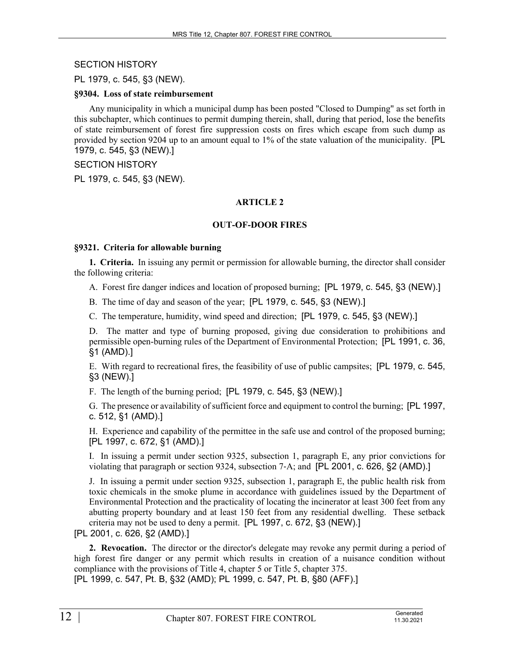SECTION HISTORY

PL 1979, c. 545, §3 (NEW).

#### **§9304. Loss of state reimbursement**

Any municipality in which a municipal dump has been posted "Closed to Dumping" as set forth in this subchapter, which continues to permit dumping therein, shall, during that period, lose the benefits of state reimbursement of forest fire suppression costs on fires which escape from such dump as provided by section 9204 up to an amount equal to 1% of the state valuation of the municipality. [PL 1979, c. 545, §3 (NEW).]

### SECTION HISTORY

PL 1979, c. 545, §3 (NEW).

## **ARTICLE 2**

### **OUT-OF-DOOR FIRES**

### **§9321. Criteria for allowable burning**

**1. Criteria.** In issuing any permit or permission for allowable burning, the director shall consider the following criteria:

A. Forest fire danger indices and location of proposed burning; [PL 1979, c. 545, §3 (NEW).]

B. The time of day and season of the year; [PL 1979, c. 545, §3 (NEW).]

C. The temperature, humidity, wind speed and direction; [PL 1979, c. 545, §3 (NEW).]

D. The matter and type of burning proposed, giving due consideration to prohibitions and permissible open-burning rules of the Department of Environmental Protection; [PL 1991, c. 36, §1 (AMD).]

E. With regard to recreational fires, the feasibility of use of public campsites; [PL 1979, c. 545, §3 (NEW).]

F. The length of the burning period; [PL 1979, c. 545, §3 (NEW).]

G. The presence or availability of sufficient force and equipment to control the burning; [PL 1997, c. 512, §1 (AMD).]

H. Experience and capability of the permittee in the safe use and control of the proposed burning; [PL 1997, c. 672, §1 (AMD).]

I. In issuing a permit under section 9325, subsection 1, paragraph E, any prior convictions for violating that paragraph or section 9324, subsection 7‑A; and [PL 2001, c. 626, §2 (AMD).]

J. In issuing a permit under section 9325, subsection 1, paragraph E, the public health risk from toxic chemicals in the smoke plume in accordance with guidelines issued by the Department of Environmental Protection and the practicality of locating the incinerator at least 300 feet from any abutting property boundary and at least 150 feet from any residential dwelling. These setback criteria may not be used to deny a permit. [PL 1997, c. 672, §3 (NEW).]

[PL 2001, c. 626, §2 (AMD).]

**2. Revocation.** The director or the director's delegate may revoke any permit during a period of high forest fire danger or any permit which results in creation of a nuisance condition without compliance with the provisions of Title 4, chapter 5 or Title 5, chapter 375. [PL 1999, c. 547, Pt. B, §32 (AMD); PL 1999, c. 547, Pt. B, §80 (AFF).]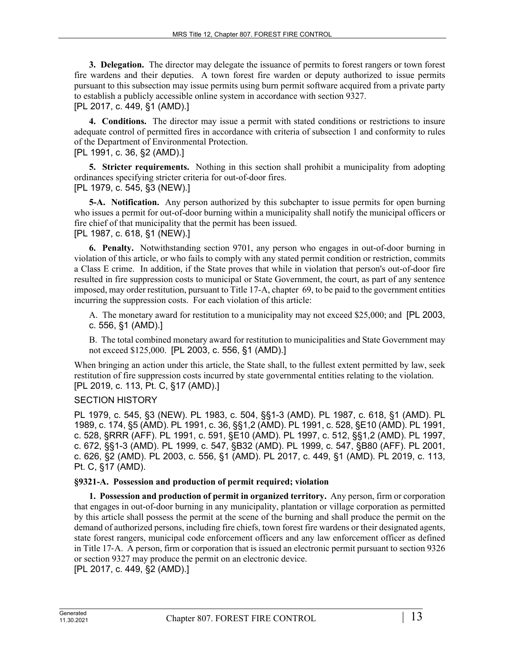**3. Delegation.** The director may delegate the issuance of permits to forest rangers or town forest fire wardens and their deputies. A town forest fire warden or deputy authorized to issue permits pursuant to this subsection may issue permits using burn permit software acquired from a private party to establish a publicly accessible online system in accordance with section 9327.

[PL 2017, c. 449, §1 (AMD).]

**4. Conditions.** The director may issue a permit with stated conditions or restrictions to insure adequate control of permitted fires in accordance with criteria of subsection 1 and conformity to rules of the Department of Environmental Protection.

[PL 1991, c. 36, §2 (AMD).]

**5. Stricter requirements.** Nothing in this section shall prohibit a municipality from adopting ordinances specifying stricter criteria for out-of-door fires.

[PL 1979, c. 545, §3 (NEW).]

**5-A. Notification.** Any person authorized by this subchapter to issue permits for open burning who issues a permit for out-of-door burning within a municipality shall notify the municipal officers or fire chief of that municipality that the permit has been issued. [PL 1987, c. 618, §1 (NEW).]

**6. Penalty.** Notwithstanding section 9701, any person who engages in out-of-door burning in violation of this article, or who fails to comply with any stated permit condition or restriction, commits a Class E crime. In addition, if the State proves that while in violation that person's out-of-door fire resulted in fire suppression costs to municipal or State Government, the court, as part of any sentence imposed, may order restitution, pursuant to Title 17-A, chapter 69, to be paid to the government entities

A. The monetary award for restitution to a municipality may not exceed \$25,000; and [PL 2003, c. 556, §1 (AMD).]

B. The total combined monetary award for restitution to municipalities and State Government may not exceed \$125,000. [PL 2003, c. 556, §1 (AMD).]

When bringing an action under this article, the State shall, to the fullest extent permitted by law, seek restitution of fire suppression costs incurred by state governmental entities relating to the violation. [PL 2019, c. 113, Pt. C, §17 (AMD).]

## SECTION HISTORY

PL 1979, c. 545, §3 (NEW). PL 1983, c. 504, §§1-3 (AMD). PL 1987, c. 618, §1 (AMD). PL 1989, c. 174, §5 (AMD). PL 1991, c. 36, §§1,2 (AMD). PL 1991, c. 528, §E10 (AMD). PL 1991, c. 528, §RRR (AFF). PL 1991, c. 591, §E10 (AMD). PL 1997, c. 512, §§1,2 (AMD). PL 1997, c. 672, §§1-3 (AMD). PL 1999, c. 547, §B32 (AMD). PL 1999, c. 547, §B80 (AFF). PL 2001, c. 626, §2 (AMD). PL 2003, c. 556, §1 (AMD). PL 2017, c. 449, §1 (AMD). PL 2019, c. 113, Pt. C, §17 (AMD).

#### **§9321-A. Possession and production of permit required; violation**

incurring the suppression costs. For each violation of this article:

**1. Possession and production of permit in organized territory.** Any person, firm or corporation that engages in out-of-door burning in any municipality, plantation or village corporation as permitted by this article shall possess the permit at the scene of the burning and shall produce the permit on the demand of authorized persons, including fire chiefs, town forest fire wardens or their designated agents, state forest rangers, municipal code enforcement officers and any law enforcement officer as defined in Title 17‑A. A person, firm or corporation that is issued an electronic permit pursuant to section 9326 or section 9327 may produce the permit on an electronic device.

[PL 2017, c. 449, §2 (AMD).]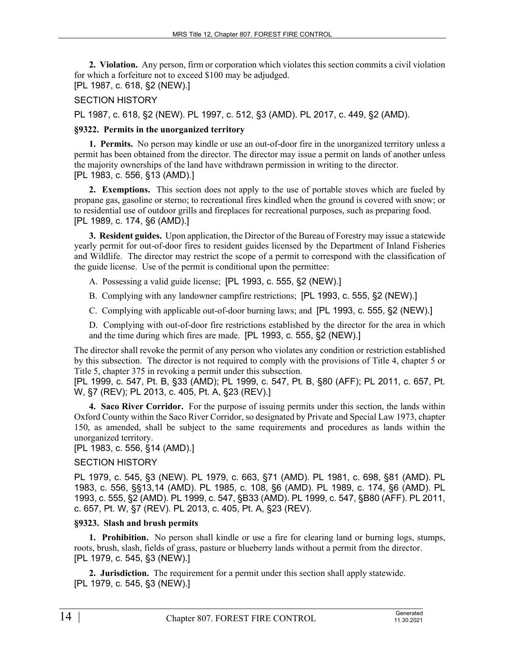**2. Violation.** Any person, firm or corporation which violates this section commits a civil violation for which a forfeiture not to exceed \$100 may be adjudged. [PL 1987, c. 618, §2 (NEW).]

### SECTION HISTORY

PL 1987, c. 618, §2 (NEW). PL 1997, c. 512, §3 (AMD). PL 2017, c. 449, §2 (AMD).

#### **§9322. Permits in the unorganized territory**

**1. Permits.** No person may kindle or use an out-of-door fire in the unorganized territory unless a permit has been obtained from the director. The director may issue a permit on lands of another unless the majority ownerships of the land have withdrawn permission in writing to the director. [PL 1983, c. 556, §13 (AMD).]

**2. Exemptions.** This section does not apply to the use of portable stoves which are fueled by propane gas, gasoline or sterno; to recreational fires kindled when the ground is covered with snow; or to residential use of outdoor grills and fireplaces for recreational purposes, such as preparing food. [PL 1989, c. 174, §6 (AMD).]

**3. Resident guides.** Upon application, the Director of the Bureau of Forestry may issue a statewide yearly permit for out-of-door fires to resident guides licensed by the Department of Inland Fisheries and Wildlife. The director may restrict the scope of a permit to correspond with the classification of the guide license. Use of the permit is conditional upon the permittee:

A. Possessing a valid guide license; [PL 1993, c. 555, §2 (NEW).]

- B. Complying with any landowner campfire restrictions; [PL 1993, c. 555, §2 (NEW).]
- C. Complying with applicable out-of-door burning laws; and [PL 1993, c. 555, §2 (NEW).]
- D. Complying with out-of-door fire restrictions established by the director for the area in which and the time during which fires are made. [PL 1993, c. 555, §2 (NEW).]

The director shall revoke the permit of any person who violates any condition or restriction established by this subsection. The director is not required to comply with the provisions of Title 4, chapter 5 or Title 5, chapter 375 in revoking a permit under this subsection.

[PL 1999, c. 547, Pt. B, §33 (AMD); PL 1999, c. 547, Pt. B, §80 (AFF); PL 2011, c. 657, Pt. W, §7 (REV); PL 2013, c. 405, Pt. A, §23 (REV).]

**4. Saco River Corridor.** For the purpose of issuing permits under this section, the lands within Oxford County within the Saco River Corridor, so designated by Private and Special Law 1973, chapter 150, as amended, shall be subject to the same requirements and procedures as lands within the unorganized territory.

# [PL 1983, c. 556, §14 (AMD).]

## SECTION HISTORY

PL 1979, c. 545, §3 (NEW). PL 1979, c. 663, §71 (AMD). PL 1981, c. 698, §81 (AMD). PL 1983, c. 556, §§13,14 (AMD). PL 1985, c. 108, §6 (AMD). PL 1989, c. 174, §6 (AMD). PL 1993, c. 555, §2 (AMD). PL 1999, c. 547, §B33 (AMD). PL 1999, c. 547, §B80 (AFF). PL 2011, c. 657, Pt. W, §7 (REV). PL 2013, c. 405, Pt. A, §23 (REV).

#### **§9323. Slash and brush permits**

**1. Prohibition.** No person shall kindle or use a fire for clearing land or burning logs, stumps, roots, brush, slash, fields of grass, pasture or blueberry lands without a permit from the director. [PL 1979, c. 545, §3 (NEW).]

**2. Jurisdiction.** The requirement for a permit under this section shall apply statewide. [PL 1979, c. 545, §3 (NEW).]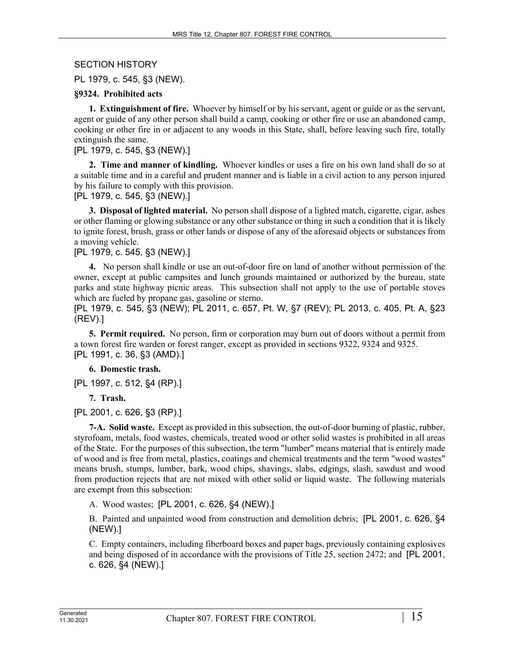SECTION HISTORY

PL 1979, c. 545, §3 (NEW).

#### **§9324. Prohibited acts**

**1. Extinguishment of fire.** Whoever by himself or by his servant, agent or guide or as the servant, agent or guide of any other person shall build a camp, cooking or other fire or use an abandoned camp, cooking or other fire in or adjacent to any woods in this State, shall, before leaving such fire, totally extinguish the same.

[PL 1979, c. 545, §3 (NEW).]

**2. Time and manner of kindling.** Whoever kindles or uses a fire on his own land shall do so at a suitable time and in a careful and prudent manner and is liable in a civil action to any person injured by his failure to comply with this provision.

[PL 1979, c. 545, §3 (NEW).]

**3. Disposal of lighted material.** No person shall dispose of a lighted match, cigarette, cigar, ashes or other flaming or glowing substance or any other substance or thing in such a condition that it is likely to ignite forest, brush, grass or other lands or dispose of any of the aforesaid objects or substances from a moving vehicle.

### [PL 1979, c. 545, §3 (NEW).]

**4.** No person shall kindle or use an out-of-door fire on land of another without permission of the owner, except at public campsites and lunch grounds maintained or authorized by the bureau, state parks and state highway picnic areas. This subsection shall not apply to the use of portable stoves which are fueled by propane gas, gasoline or sterno.

[PL 1979, c. 545, §3 (NEW); PL 2011, c. 657, Pt. W, §7 (REV); PL 2013, c. 405, Pt. A, §23 (REV).]

**5. Permit required.** No person, firm or corporation may burn out of doors without a permit from a town forest fire warden or forest ranger, except as provided in sections 9322, 9324 and 9325. [PL 1991, c. 36, §3 (AMD).]

## **6. Domestic trash.**

[PL 1997, c. 512, §4 (RP).]

**7. Trash.** 

[PL 2001, c. 626, §3 (RP).]

**7-A. Solid waste.** Except as provided in this subsection, the out-of-door burning of plastic, rubber, styrofoam, metals, food wastes, chemicals, treated wood or other solid wastes is prohibited in all areas of the State. For the purposes of this subsection, the term "lumber" means material that is entirely made of wood and is free from metal, plastics, coatings and chemical treatments and the term "wood wastes" means brush, stumps, lumber, bark, wood chips, shavings, slabs, edgings, slash, sawdust and wood from production rejects that are not mixed with other solid or liquid waste. The following materials are exempt from this subsection:

A. Wood wastes; [PL 2001, c. 626, §4 (NEW).]

B. Painted and unpainted wood from construction and demolition debris; [PL 2001, c. 626, §4 (NEW).]

C. Empty containers, including fiberboard boxes and paper bags, previously containing explosives and being disposed of in accordance with the provisions of Title 25, section 2472; and [PL 2001, c. 626, §4 (NEW).]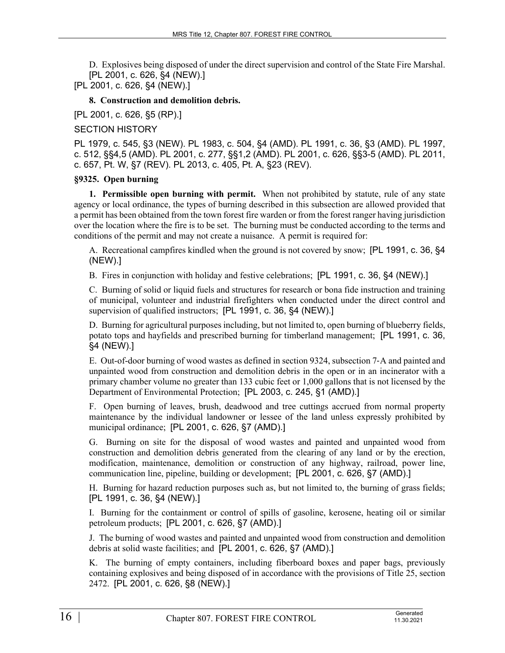D. Explosives being disposed of under the direct supervision and control of the State Fire Marshal. [PL 2001, c. 626, §4 (NEW).]

[PL 2001, c. 626, §4 (NEW).]

#### **8. Construction and demolition debris.**

[PL 2001, c. 626, §5 (RP).]

### SECTION HISTORY

PL 1979, c. 545, §3 (NEW). PL 1983, c. 504, §4 (AMD). PL 1991, c. 36, §3 (AMD). PL 1997, c. 512, §§4,5 (AMD). PL 2001, c. 277, §§1,2 (AMD). PL 2001, c. 626, §§3-5 (AMD). PL 2011, c. 657, Pt. W, §7 (REV). PL 2013, c. 405, Pt. A, §23 (REV).

### **§9325. Open burning**

**1. Permissible open burning with permit.** When not prohibited by statute, rule of any state agency or local ordinance, the types of burning described in this subsection are allowed provided that a permit has been obtained from the town forest fire warden or from the forest ranger having jurisdiction over the location where the fire is to be set. The burning must be conducted according to the terms and conditions of the permit and may not create a nuisance. A permit is required for:

A. Recreational campfires kindled when the ground is not covered by snow; [PL 1991, c. 36, §4 (NEW).]

B. Fires in conjunction with holiday and festive celebrations; [PL 1991, c. 36, §4 (NEW).]

C. Burning of solid or liquid fuels and structures for research or bona fide instruction and training of municipal, volunteer and industrial firefighters when conducted under the direct control and supervision of qualified instructors; [PL 1991, c. 36, §4 (NEW).]

D. Burning for agricultural purposes including, but not limited to, open burning of blueberry fields, potato tops and hayfields and prescribed burning for timberland management; [PL 1991, c. 36, §4 (NEW).]

E. Out-of-door burning of wood wastes as defined in section 9324, subsection 7‑A and painted and unpainted wood from construction and demolition debris in the open or in an incinerator with a primary chamber volume no greater than 133 cubic feet or 1,000 gallons that is not licensed by the Department of Environmental Protection; [PL 2003, c. 245, §1 (AMD).]

F. Open burning of leaves, brush, deadwood and tree cuttings accrued from normal property maintenance by the individual landowner or lessee of the land unless expressly prohibited by municipal ordinance; [PL 2001, c. 626, §7 (AMD).]

G. Burning on site for the disposal of wood wastes and painted and unpainted wood from construction and demolition debris generated from the clearing of any land or by the erection, modification, maintenance, demolition or construction of any highway, railroad, power line, communication line, pipeline, building or development; [PL 2001, c. 626, §7 (AMD).]

H. Burning for hazard reduction purposes such as, but not limited to, the burning of grass fields; [PL 1991, c. 36, §4 (NEW).]

I. Burning for the containment or control of spills of gasoline, kerosene, heating oil or similar petroleum products; [PL 2001, c. 626, §7 (AMD).]

J. The burning of wood wastes and painted and unpainted wood from construction and demolition debris at solid waste facilities; and [PL 2001, c. 626, §7 (AMD).]

K. The burning of empty containers, including fiberboard boxes and paper bags, previously containing explosives and being disposed of in accordance with the provisions of Title 25, section 2472. [PL 2001, c. 626, §8 (NEW).]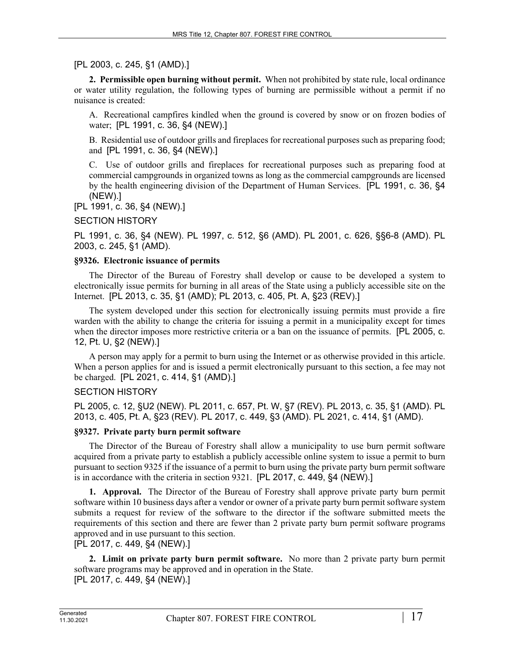[PL 2003, c. 245, §1 (AMD).]

**2. Permissible open burning without permit.** When not prohibited by state rule, local ordinance or water utility regulation, the following types of burning are permissible without a permit if no nuisance is created:

A. Recreational campfires kindled when the ground is covered by snow or on frozen bodies of water; [PL 1991, c. 36, §4 (NEW).]

B. Residential use of outdoor grills and fireplaces for recreational purposes such as preparing food; and [PL 1991, c. 36, §4 (NEW).]

C. Use of outdoor grills and fireplaces for recreational purposes such as preparing food at commercial campgrounds in organized towns as long as the commercial campgrounds are licensed by the health engineering division of the Department of Human Services. [PL 1991, c. 36, §4 (NEW).]

[PL 1991, c. 36, §4 (NEW).]

### SECTION HISTORY

PL 1991, c. 36, §4 (NEW). PL 1997, c. 512, §6 (AMD). PL 2001, c. 626, §§6-8 (AMD). PL 2003, c. 245, §1 (AMD).

#### **§9326. Electronic issuance of permits**

The Director of the Bureau of Forestry shall develop or cause to be developed a system to electronically issue permits for burning in all areas of the State using a publicly accessible site on the Internet. [PL 2013, c. 35, §1 (AMD); PL 2013, c. 405, Pt. A, §23 (REV).]

The system developed under this section for electronically issuing permits must provide a fire warden with the ability to change the criteria for issuing a permit in a municipality except for times when the director imposes more restrictive criteria or a ban on the issuance of permits. [PL 2005, c. 12, Pt. U, §2 (NEW).]

A person may apply for a permit to burn using the Internet or as otherwise provided in this article. When a person applies for and is issued a permit electronically pursuant to this section, a fee may not be charged. [PL 2021, c. 414, §1 (AMD).]

## SECTION HISTORY

PL 2005, c. 12, §U2 (NEW). PL 2011, c. 657, Pt. W, §7 (REV). PL 2013, c. 35, §1 (AMD). PL 2013, c. 405, Pt. A, §23 (REV). PL 2017, c. 449, §3 (AMD). PL 2021, c. 414, §1 (AMD).

#### **§9327. Private party burn permit software**

The Director of the Bureau of Forestry shall allow a municipality to use burn permit software acquired from a private party to establish a publicly accessible online system to issue a permit to burn pursuant to section 9325 if the issuance of a permit to burn using the private party burn permit software is in accordance with the criteria in section 9321. [PL 2017, c. 449, §4 (NEW).]

**1. Approval.** The Director of the Bureau of Forestry shall approve private party burn permit software within 10 business days after a vendor or owner of a private party burn permit software system submits a request for review of the software to the director if the software submitted meets the requirements of this section and there are fewer than 2 private party burn permit software programs approved and in use pursuant to this section.

[PL 2017, c. 449, §4 (NEW).]

**2. Limit on private party burn permit software.** No more than 2 private party burn permit software programs may be approved and in operation in the State. [PL 2017, c. 449, §4 (NEW).]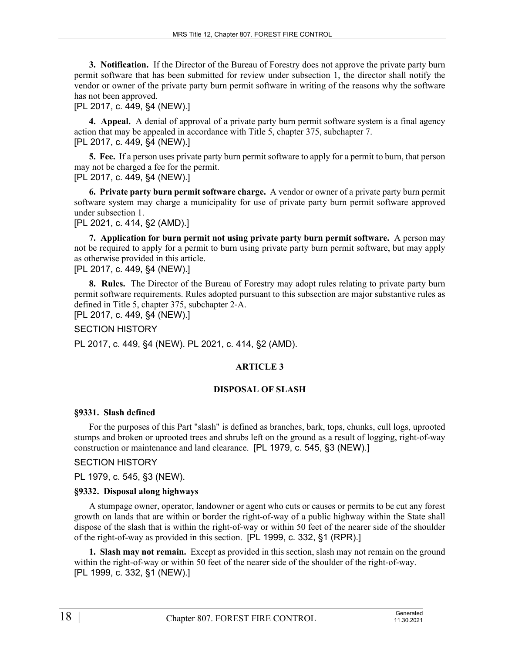**3. Notification.** If the Director of the Bureau of Forestry does not approve the private party burn permit software that has been submitted for review under subsection 1, the director shall notify the vendor or owner of the private party burn permit software in writing of the reasons why the software has not been approved.

[PL 2017, c. 449, §4 (NEW).]

**4. Appeal.** A denial of approval of a private party burn permit software system is a final agency action that may be appealed in accordance with Title 5, chapter 375, subchapter 7. [PL 2017, c. 449, §4 (NEW).]

**5. Fee.** If a person uses private party burn permit software to apply for a permit to burn, that person may not be charged a fee for the permit. [PL 2017, c. 449, §4 (NEW).]

**6. Private party burn permit software charge.** A vendor or owner of a private party burn permit software system may charge a municipality for use of private party burn permit software approved under subsection 1.

[PL 2021, c. 414, §2 (AMD).]

**7. Application for burn permit not using private party burn permit software.** A person may not be required to apply for a permit to burn using private party burn permit software, but may apply as otherwise provided in this article.

[PL 2017, c. 449, §4 (NEW).]

**8. Rules.** The Director of the Bureau of Forestry may adopt rules relating to private party burn permit software requirements. Rules adopted pursuant to this subsection are major substantive rules as defined in Title 5, chapter 375, subchapter 2‑A.

[PL 2017, c. 449, §4 (NEW).]

SECTION HISTORY

PL 2017, c. 449, §4 (NEW). PL 2021, c. 414, §2 (AMD).

#### **ARTICLE 3**

#### **DISPOSAL OF SLASH**

#### **§9331. Slash defined**

For the purposes of this Part "slash" is defined as branches, bark, tops, chunks, cull logs, uprooted stumps and broken or uprooted trees and shrubs left on the ground as a result of logging, right-of-way construction or maintenance and land clearance. [PL 1979, c. 545, §3 (NEW).]

### SECTION HISTORY

PL 1979, c. 545, §3 (NEW).

#### **§9332. Disposal along highways**

A stumpage owner, operator, landowner or agent who cuts or causes or permits to be cut any forest growth on lands that are within or border the right-of-way of a public highway within the State shall dispose of the slash that is within the right-of-way or within 50 feet of the nearer side of the shoulder of the right-of-way as provided in this section. [PL 1999, c. 332, §1 (RPR).]

**1. Slash may not remain.** Except as provided in this section, slash may not remain on the ground within the right-of-way or within 50 feet of the nearer side of the shoulder of the right-of-way. [PL 1999, c. 332, §1 (NEW).]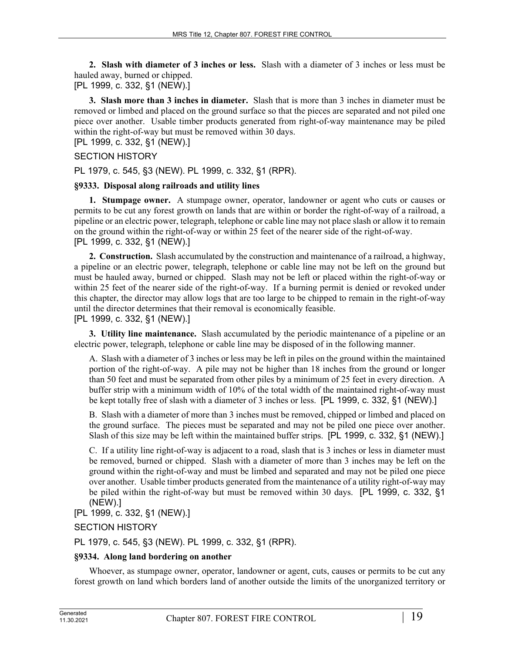**2. Slash with diameter of 3 inches or less.** Slash with a diameter of 3 inches or less must be hauled away, burned or chipped.

[PL 1999, c. 332, §1 (NEW).]

**3. Slash more than 3 inches in diameter.** Slash that is more than 3 inches in diameter must be removed or limbed and placed on the ground surface so that the pieces are separated and not piled one piece over another. Usable timber products generated from right-of-way maintenance may be piled within the right-of-way but must be removed within 30 days.

[PL 1999, c. 332, §1 (NEW).]

## SECTION HISTORY

PL 1979, c. 545, §3 (NEW). PL 1999, c. 332, §1 (RPR).

# **§9333. Disposal along railroads and utility lines**

**1. Stumpage owner.** A stumpage owner, operator, landowner or agent who cuts or causes or permits to be cut any forest growth on lands that are within or border the right-of-way of a railroad, a pipeline or an electric power, telegraph, telephone or cable line may not place slash or allow it to remain on the ground within the right-of-way or within 25 feet of the nearer side of the right-of-way. [PL 1999, c. 332, §1 (NEW).]

**2. Construction.** Slash accumulated by the construction and maintenance of a railroad, a highway, a pipeline or an electric power, telegraph, telephone or cable line may not be left on the ground but must be hauled away, burned or chipped. Slash may not be left or placed within the right-of-way or within 25 feet of the nearer side of the right-of-way. If a burning permit is denied or revoked under this chapter, the director may allow logs that are too large to be chipped to remain in the right-of-way until the director determines that their removal is economically feasible.

[PL 1999, c. 332, §1 (NEW).]

**3. Utility line maintenance.** Slash accumulated by the periodic maintenance of a pipeline or an electric power, telegraph, telephone or cable line may be disposed of in the following manner.

A. Slash with a diameter of 3 inches or less may be left in piles on the ground within the maintained portion of the right-of-way. A pile may not be higher than 18 inches from the ground or longer than 50 feet and must be separated from other piles by a minimum of 25 feet in every direction. A buffer strip with a minimum width of 10% of the total width of the maintained right-of-way must be kept totally free of slash with a diameter of 3 inches or less. [PL 1999, c. 332, §1 (NEW).]

B. Slash with a diameter of more than 3 inches must be removed, chipped or limbed and placed on the ground surface. The pieces must be separated and may not be piled one piece over another. Slash of this size may be left within the maintained buffer strips. [PL 1999, c. 332, §1 (NEW).]

C. If a utility line right-of-way is adjacent to a road, slash that is 3 inches or less in diameter must be removed, burned or chipped. Slash with a diameter of more than 3 inches may be left on the ground within the right-of-way and must be limbed and separated and may not be piled one piece over another. Usable timber products generated from the maintenance of a utility right-of-way may be piled within the right-of-way but must be removed within 30 days. [PL 1999, c. 332, §1 (NEW).]

[PL 1999, c. 332, §1 (NEW).]

## SECTION HISTORY

PL 1979, c. 545, §3 (NEW). PL 1999, c. 332, §1 (RPR).

#### **§9334. Along land bordering on another**

Whoever, as stumpage owner, operator, landowner or agent, cuts, causes or permits to be cut any forest growth on land which borders land of another outside the limits of the unorganized territory or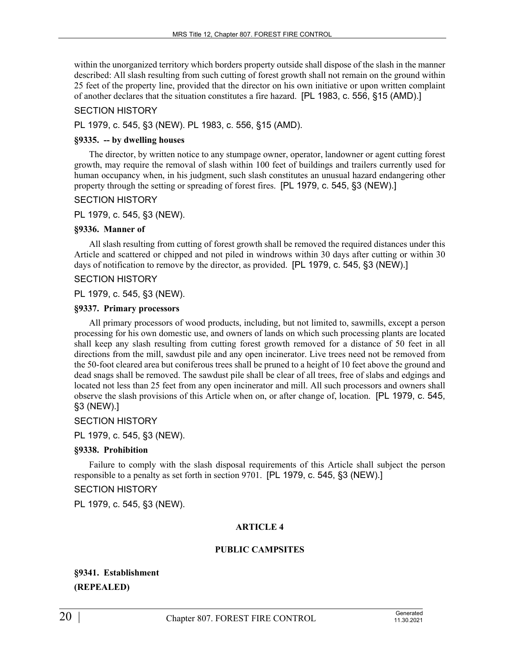within the unorganized territory which borders property outside shall dispose of the slash in the manner described: All slash resulting from such cutting of forest growth shall not remain on the ground within 25 feet of the property line, provided that the director on his own initiative or upon written complaint of another declares that the situation constitutes a fire hazard. [PL 1983, c. 556, §15 (AMD).]

## SECTION HISTORY

PL 1979, c. 545, §3 (NEW). PL 1983, c. 556, §15 (AMD).

#### **§9335. -- by dwelling houses**

The director, by written notice to any stumpage owner, operator, landowner or agent cutting forest growth, may require the removal of slash within 100 feet of buildings and trailers currently used for human occupancy when, in his judgment, such slash constitutes an unusual hazard endangering other property through the setting or spreading of forest fires. [PL 1979, c. 545, §3 (NEW).]

### SECTION HISTORY

PL 1979, c. 545, §3 (NEW).

#### **§9336. Manner of**

All slash resulting from cutting of forest growth shall be removed the required distances under this Article and scattered or chipped and not piled in windrows within 30 days after cutting or within 30 days of notification to remove by the director, as provided. [PL 1979, c. 545, §3 (NEW).]

### SECTION HISTORY

PL 1979, c. 545, §3 (NEW).

#### **§9337. Primary processors**

All primary processors of wood products, including, but not limited to, sawmills, except a person processing for his own domestic use, and owners of lands on which such processing plants are located shall keep any slash resulting from cutting forest growth removed for a distance of 50 feet in all directions from the mill, sawdust pile and any open incinerator. Live trees need not be removed from the 50-foot cleared area but coniferous trees shall be pruned to a height of 10 feet above the ground and dead snags shall be removed. The sawdust pile shall be clear of all trees, free of slabs and edgings and located not less than 25 feet from any open incinerator and mill. All such processors and owners shall observe the slash provisions of this Article when on, or after change of, location. [PL 1979, c. 545, §3 (NEW).]

SECTION HISTORY

PL 1979, c. 545, §3 (NEW).

#### **§9338. Prohibition**

Failure to comply with the slash disposal requirements of this Article shall subject the person responsible to a penalty as set forth in section 9701. [PL 1979, c. 545, §3 (NEW).]

## SECTION HISTORY

PL 1979, c. 545, §3 (NEW).

#### **ARTICLE 4**

#### **PUBLIC CAMPSITES**

**§9341. Establishment (REPEALED)**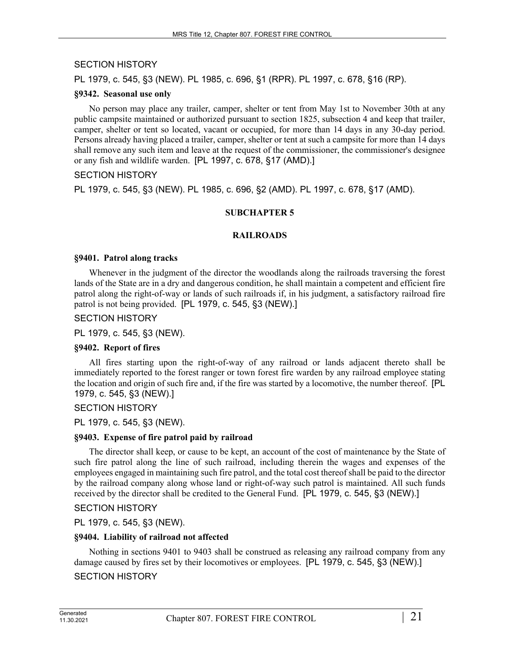# SECTION HISTORY

PL 1979, c. 545, §3 (NEW). PL 1985, c. 696, §1 (RPR). PL 1997, c. 678, §16 (RP).

#### **§9342. Seasonal use only**

No person may place any trailer, camper, shelter or tent from May 1st to November 30th at any public campsite maintained or authorized pursuant to section 1825, subsection 4 and keep that trailer, camper, shelter or tent so located, vacant or occupied, for more than 14 days in any 30-day period. Persons already having placed a trailer, camper, shelter or tent at such a campsite for more than 14 days shall remove any such item and leave at the request of the commissioner, the commissioner's designee or any fish and wildlife warden. [PL 1997, c. 678, §17 (AMD).]

### SECTION HISTORY

PL 1979, c. 545, §3 (NEW). PL 1985, c. 696, §2 (AMD). PL 1997, c. 678, §17 (AMD).

### **SUBCHAPTER 5**

#### **RAILROADS**

#### **§9401. Patrol along tracks**

Whenever in the judgment of the director the woodlands along the railroads traversing the forest lands of the State are in a dry and dangerous condition, he shall maintain a competent and efficient fire patrol along the right-of-way or lands of such railroads if, in his judgment, a satisfactory railroad fire patrol is not being provided. [PL 1979, c. 545, §3 (NEW).]

#### SECTION HISTORY

PL 1979, c. 545, §3 (NEW).

#### **§9402. Report of fires**

All fires starting upon the right-of-way of any railroad or lands adjacent thereto shall be immediately reported to the forest ranger or town forest fire warden by any railroad employee stating the location and origin of such fire and, if the fire was started by a locomotive, the number thereof. [PL 1979, c. 545, §3 (NEW).]

#### SECTION HISTORY

PL 1979, c. 545, §3 (NEW).

#### **§9403. Expense of fire patrol paid by railroad**

The director shall keep, or cause to be kept, an account of the cost of maintenance by the State of such fire patrol along the line of such railroad, including therein the wages and expenses of the employees engaged in maintaining such fire patrol, and the total cost thereof shall be paid to the director by the railroad company along whose land or right-of-way such patrol is maintained. All such funds received by the director shall be credited to the General Fund. [PL 1979, c. 545, §3 (NEW).]

#### SECTION HISTORY

PL 1979, c. 545, §3 (NEW).

#### **§9404. Liability of railroad not affected**

Nothing in sections 9401 to 9403 shall be construed as releasing any railroad company from any damage caused by fires set by their locomotives or employees. [PL 1979, c. 545, §3 (NEW).]

## SECTION HISTORY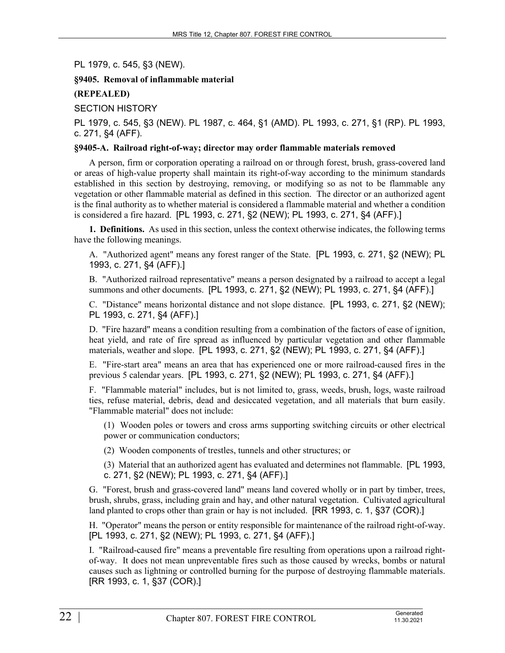PL 1979, c. 545, §3 (NEW).

### **§9405. Removal of inflammable material**

### **(REPEALED)**

SECTION HISTORY

PL 1979, c. 545, §3 (NEW). PL 1987, c. 464, §1 (AMD). PL 1993, c. 271, §1 (RP). PL 1993, c. 271, §4 (AFF).

#### **§9405-A. Railroad right-of-way; director may order flammable materials removed**

A person, firm or corporation operating a railroad on or through forest, brush, grass-covered land or areas of high-value property shall maintain its right-of-way according to the minimum standards established in this section by destroying, removing, or modifying so as not to be flammable any vegetation or other flammable material as defined in this section. The director or an authorized agent is the final authority as to whether material is considered a flammable material and whether a condition is considered a fire hazard. [PL 1993, c. 271, §2 (NEW); PL 1993, c. 271, §4 (AFF).]

**1. Definitions.** As used in this section, unless the context otherwise indicates, the following terms have the following meanings.

A. "Authorized agent" means any forest ranger of the State. [PL 1993, c. 271, §2 (NEW); PL 1993, c. 271, §4 (AFF).]

B. "Authorized railroad representative" means a person designated by a railroad to accept a legal summons and other documents. [PL 1993, c. 271, §2 (NEW); PL 1993, c. 271, §4 (AFF).]

C. "Distance" means horizontal distance and not slope distance. [PL 1993, c. 271, §2 (NEW); PL 1993, c. 271, §4 (AFF).]

D. "Fire hazard" means a condition resulting from a combination of the factors of ease of ignition, heat yield, and rate of fire spread as influenced by particular vegetation and other flammable materials, weather and slope. [PL 1993, c. 271, §2 (NEW); PL 1993, c. 271, §4 (AFF).]

E. "Fire-start area" means an area that has experienced one or more railroad-caused fires in the previous 5 calendar years. [PL 1993, c. 271, §2 (NEW); PL 1993, c. 271, §4 (AFF).]

F. "Flammable material" includes, but is not limited to, grass, weeds, brush, logs, waste railroad ties, refuse material, debris, dead and desiccated vegetation, and all materials that burn easily. "Flammable material" does not include:

(1) Wooden poles or towers and cross arms supporting switching circuits or other electrical power or communication conductors;

(2) Wooden components of trestles, tunnels and other structures; or

(3) Material that an authorized agent has evaluated and determines not flammable. [PL 1993, c. 271, §2 (NEW); PL 1993, c. 271, §4 (AFF).]

G. "Forest, brush and grass-covered land" means land covered wholly or in part by timber, trees, brush, shrubs, grass, including grain and hay, and other natural vegetation. Cultivated agricultural land planted to crops other than grain or hay is not included. [RR 1993, c. 1, §37 (COR).]

H. "Operator" means the person or entity responsible for maintenance of the railroad right-of-way. [PL 1993, c. 271, §2 (NEW); PL 1993, c. 271, §4 (AFF).]

I. "Railroad-caused fire" means a preventable fire resulting from operations upon a railroad rightof-way. It does not mean unpreventable fires such as those caused by wrecks, bombs or natural causes such as lightning or controlled burning for the purpose of destroying flammable materials. [RR 1993, c. 1, §37 (COR).]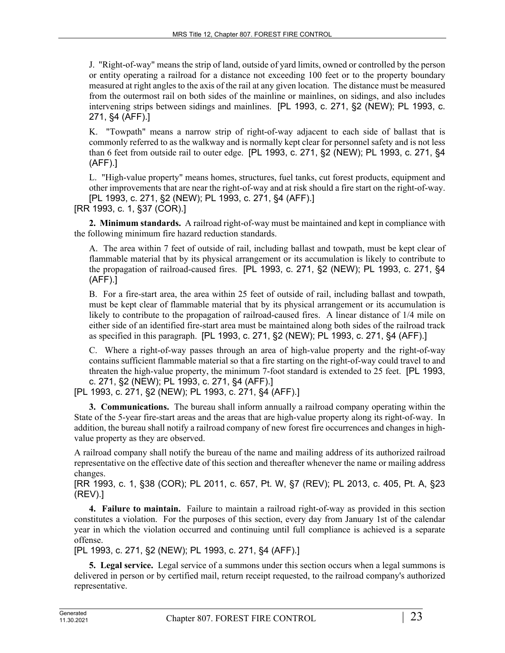J. "Right-of-way" means the strip of land, outside of yard limits, owned or controlled by the person or entity operating a railroad for a distance not exceeding 100 feet or to the property boundary measured at right angles to the axis of the rail at any given location. The distance must be measured from the outermost rail on both sides of the mainline or mainlines, on sidings, and also includes intervening strips between sidings and mainlines. [PL 1993, c. 271, §2 (NEW); PL 1993, c. 271, §4 (AFF).]

K. "Towpath" means a narrow strip of right-of-way adjacent to each side of ballast that is commonly referred to as the walkway and is normally kept clear for personnel safety and is not less than 6 feet from outside rail to outer edge. [PL 1993, c. 271, §2 (NEW); PL 1993, c. 271, §4 (AFF).]

L. "High-value property" means homes, structures, fuel tanks, cut forest products, equipment and other improvements that are near the right-of-way and at risk should a fire start on the right-of-way. [PL 1993, c. 271, §2 (NEW); PL 1993, c. 271, §4 (AFF).]

[RR 1993, c. 1, §37 (COR).]

**2. Minimum standards.** A railroad right-of-way must be maintained and kept in compliance with the following minimum fire hazard reduction standards.

A. The area within 7 feet of outside of rail, including ballast and towpath, must be kept clear of flammable material that by its physical arrangement or its accumulation is likely to contribute to the propagation of railroad-caused fires. [PL 1993, c. 271, §2 (NEW); PL 1993, c. 271, §4 (AFF).]

B. For a fire-start area, the area within 25 feet of outside of rail, including ballast and towpath, must be kept clear of flammable material that by its physical arrangement or its accumulation is likely to contribute to the propagation of railroad-caused fires. A linear distance of 1/4 mile on either side of an identified fire-start area must be maintained along both sides of the railroad track as specified in this paragraph. [PL 1993, c. 271, §2 (NEW); PL 1993, c. 271, §4 (AFF).]

C. Where a right-of-way passes through an area of high-value property and the right-of-way contains sufficient flammable material so that a fire starting on the right-of-way could travel to and threaten the high-value property, the minimum 7-foot standard is extended to 25 feet. [PL 1993, c. 271, §2 (NEW); PL 1993, c. 271, §4 (AFF).]

[PL 1993, c. 271, §2 (NEW); PL 1993, c. 271, §4 (AFF).]

**3. Communications.** The bureau shall inform annually a railroad company operating within the State of the 5-year fire-start areas and the areas that are high-value property along its right-of-way. In addition, the bureau shall notify a railroad company of new forest fire occurrences and changes in highvalue property as they are observed.

A railroad company shall notify the bureau of the name and mailing address of its authorized railroad representative on the effective date of this section and thereafter whenever the name or mailing address changes.

[RR 1993, c. 1, §38 (COR); PL 2011, c. 657, Pt. W, §7 (REV); PL 2013, c. 405, Pt. A, §23 (REV).]

**4. Failure to maintain.** Failure to maintain a railroad right-of-way as provided in this section constitutes a violation. For the purposes of this section, every day from January 1st of the calendar year in which the violation occurred and continuing until full compliance is achieved is a separate offense.

[PL 1993, c. 271, §2 (NEW); PL 1993, c. 271, §4 (AFF).]

**5. Legal service.** Legal service of a summons under this section occurs when a legal summons is delivered in person or by certified mail, return receipt requested, to the railroad company's authorized representative.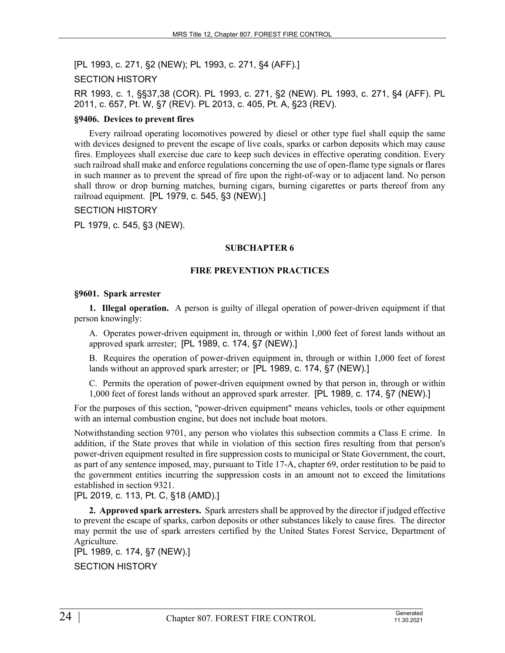[PL 1993, c. 271, §2 (NEW); PL 1993, c. 271, §4 (AFF).]

### SECTION HISTORY

RR 1993, c. 1, §§37,38 (COR). PL 1993, c. 271, §2 (NEW). PL 1993, c. 271, §4 (AFF). PL 2011, c. 657, Pt. W, §7 (REV). PL 2013, c. 405, Pt. A, §23 (REV).

#### **§9406. Devices to prevent fires**

Every railroad operating locomotives powered by diesel or other type fuel shall equip the same with devices designed to prevent the escape of live coals, sparks or carbon deposits which may cause fires. Employees shall exercise due care to keep such devices in effective operating condition. Every such railroad shall make and enforce regulations concerning the use of open-flame type signals or flares in such manner as to prevent the spread of fire upon the right-of-way or to adjacent land. No person shall throw or drop burning matches, burning cigars, burning cigarettes or parts thereof from any railroad equipment. [PL 1979, c. 545, §3 (NEW).]

### SECTION HISTORY

PL 1979, c. 545, §3 (NEW).

### **SUBCHAPTER 6**

### **FIRE PREVENTION PRACTICES**

#### **§9601. Spark arrester**

**1. Illegal operation.** A person is guilty of illegal operation of power-driven equipment if that person knowingly:

A. Operates power-driven equipment in, through or within 1,000 feet of forest lands without an approved spark arrester; [PL 1989, c. 174, §7 (NEW).]

B. Requires the operation of power-driven equipment in, through or within 1,000 feet of forest lands without an approved spark arrester; or [PL 1989, c. 174, §7 (NEW).]

C. Permits the operation of power-driven equipment owned by that person in, through or within 1,000 feet of forest lands without an approved spark arrester. [PL 1989, c. 174, §7 (NEW).]

For the purposes of this section, "power-driven equipment" means vehicles, tools or other equipment with an internal combustion engine, but does not include boat motors.

Notwithstanding section 9701, any person who violates this subsection commits a Class E crime. In addition, if the State proves that while in violation of this section fires resulting from that person's power-driven equipment resulted in fire suppression costs to municipal or State Government, the court, as part of any sentence imposed, may, pursuant to Title 17-A, chapter 69, order restitution to be paid to the government entities incurring the suppression costs in an amount not to exceed the limitations established in section 9321.

[PL 2019, c. 113, Pt. C, §18 (AMD).]

**2. Approved spark arresters.** Spark arresters shall be approved by the director if judged effective to prevent the escape of sparks, carbon deposits or other substances likely to cause fires. The director may permit the use of spark arresters certified by the United States Forest Service, Department of Agriculture.

[PL 1989, c. 174, §7 (NEW).] SECTION HISTORY